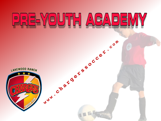# RE-YOUTH AGAP  $\Box$

**MARIBER 550CCEF.COM** LAKEWOOD RANCH REFERENCE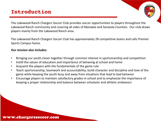## **Introduction**

The Lakewood Ranch Chargers Soccer Club provides soccer opportunities to players throughout the Lakewood Ranch community and covering all sides of Manatee and Sarasota Counties. Our club draws players mainly from the Lakewood Ranch area.

The Lakewood Ranch Chargers Soccer Club has approximately 28 competitive teams and calls Premier Sports Campus home.

#### **Our mission also includes:**

- Bringing our youth closer together through common interest in sportsmanship and competition
- Instill the values of education and importance of behaving at school and home
- Acquaint the players with the fundamentals of the game rule
- Teach sportsmanship, teamwork and accountability; build character and discipline and love of the game while keeping the youth busy and away from situations that lead to bad behavior
- Encourage players to maintain satisfactory grades in school and to emphasize the importance of keeping a proper relationship and balance between scholastic and athletic endeavors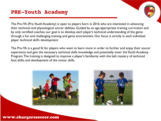### **PRE-Youth Academy**

The Pre-YA (Pre-Youth Academy) is open to players born in 2016 who are interested in advancing their technical and physiological soccer abilities. Guided by an age-appropriate training curriculum and by only certified coaches, our goal is to develop each player's technical understanding of the game through a fun and challenging training and game environment. Our focus is strictly in each individual player technical skill's development.

The Pre-YA is a good fit for players who want to learn more in order to further and enjoy their soccer experience and gain the necessary technical skills knowledge and potentially enter the Youth Academy Program. The training is designed to improve a player's familiarity with the ball, mastery of technical foot skills, and development of the motor skills.



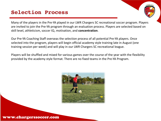## **Selection Process**

Many of the players in the Pre-YA played in our LWR Chargers SC recreational soccer program. Players are invited to join the Pre-YA program through an evaluation process. Players are selected based on skill level, athleticism, soccer IQ, motivation, and **concentration**.

Our Pre-YA Coaching Staff overseas the selection process of all potential Pre-YA players. Once selected into the program, players will begin official academy style training late in August (one training session per week) and will play in our LWR Chargers SC recreational league.

Players will be shuffled and mixed for various games over the course of the year with the flexibility provided by the academy style format. There are no fixed teams in the Pre-YA Program.

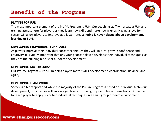### **PLAYING FOR FUN**

The most important element of the Pre-YA Program is FUN. Our coaching staff will create a FUN and exciting atmosphere for players as they learn new skills and make new friends. Having a love for soccer will allow players to improve at a faster rate. **Winning is never placed above development, learning or FUN**.

#### **DEVELOPING INDIVIDIUAL TECHNIQUES**

As players improve their individual soccer techniques they will, in turn, grow in confidence and creativity. It is vitally important that any young soccer player develops their individual techniques, as they are the building blocks for all soccer development.

### **DEVELOPING MOTOR SKILSS**

Our Pre-YA Program Curriculum helps players motor skills development, coordination, balance, and agility.

### **DEVELOPING TEAM WORK**

Soccer is a team sport and while the majority of the Pre-YA Program is based on individual technique development, our coaches will encourage players in small groups and team interactions. Our aim is for each player to apply his or her individual techniques in a small group or team environment.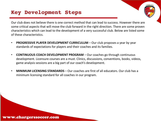## **Key Development Steps**

Our club does not believe there is one correct method that can lead to success. However there are some critical aspects that will move the club forward in the right direction. There are some proven characteristics which can lead to the development of a very successful club. Below are listed some of these characteristics.

- **PROGRESSIVE PLAYER DEVELOPMENT CURRICULUM**  Our club proposes a year by year standards of expectations for players and their coaches and its families.
- **CONTINUOUS COACH DEVELOPMENT PROGRAM** Our coaches go through continuous development. Licensure courses are a must. Clinics, discussions, conventions, books, videos, game analysis sessions are a big part of our coach's development.
- **MINIMUM LICENSING STANDARDS** Our coaches are first of all educators. Our club has a minimum licensing standard for all coaches in our program.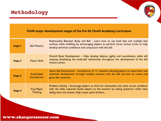

### **FOUR major development stages of the Pre-YA (Youth Academy) curriculum**

| <b>Stage 1</b> | <b>Ball Mastery</b>                   | Relationship Between Body and Ball - Learn how to use both feet and multiple feet<br>surfaces while dribbling by encouraging players to perform turns, various tricks to help<br>develop technical confidence and composure with the ball. |
|----------------|---------------------------------------|--------------------------------------------------------------------------------------------------------------------------------------------------------------------------------------------------------------------------------------------|
| Stage 2        | <b>Motor Skills</b>                   | Overall Body Development – Help develop balance, agility and coordination while still<br>enjoying developing the body-ball relationship throughout the development of the ball<br>mastery phase.                                           |
| <b>Stage 3</b> | <b>Small-Sided</b><br>Introduction    | Game like Environment - Introduction of IvI situation allowing players to experiment and<br>maximize development through multiple contacts with the ball and also to create real<br>game like scenarios.                                   |
| <b>Stage 4</b> | <b>Free Player</b><br><b>Thinking</b> | Problem Solving - Encourage players to think for themselves and solve soccer problems<br>with the skills acquired. Guide players to the answers by asking questions rather than<br>telling them the answer. Help create quick thinkers.    |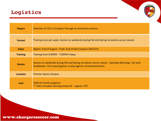# Logistics

| <b>Players</b>  | Selection of 18 to 22 players through an evaluation process.                                                                                                        |  |  |
|-----------------|---------------------------------------------------------------------------------------------------------------------------------------------------------------------|--|--|
| <b>Format</b>   | Training once per week. Games on weekends during Fall and Spring recreation soccer season.                                                                          |  |  |
| <b>Dates</b>    | Begins: End of August – Ends: End of April (season 2022/23)                                                                                                         |  |  |
| <b>Training</b> | Training from 6:00PM - 7:00PM Fridays                                                                                                                               |  |  |
| <b>Games</b>    | Games on weekends during Fall and Spring recreation soccer season. Saturday Mornings. 5v5 with<br>Goalkeeper. Intra-squad games or play against recreational teams. |  |  |
| <b>Location</b> | <b>Premier Sports Campus</b>                                                                                                                                        |  |  |
| <b>Cost</b>     | \$500 (9-month program)<br>** Extra includes training jerseys kit - approx. \$75                                                                                    |  |  |

AKEWOOD RABIN

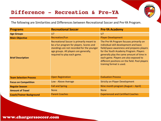The following are Similarities and Differences between Recreational Soccer and Pre-YA Program.

| <b>Programs</b>                 | <b>Recreational Soccer</b>                                                                                                                                                                                   | <b>Pre-YA Academy</b>                                                                                                                                                                                                                                                                                                                          |
|---------------------------------|--------------------------------------------------------------------------------------------------------------------------------------------------------------------------------------------------------------|------------------------------------------------------------------------------------------------------------------------------------------------------------------------------------------------------------------------------------------------------------------------------------------------------------------------------------------------|
| <b>Age Groups</b>               | U                                                                                                                                                                                                            | U                                                                                                                                                                                                                                                                                                                                              |
| <b>Main Objective</b>           | <b>Recreation/Fun</b>                                                                                                                                                                                        | <b>Player Development</b>                                                                                                                                                                                                                                                                                                                      |
| <b>Brief Description</b>        | Recreational Soccer is primarily meant to<br>be a fun program for players. Scores and<br>standings are not recorded for the younger<br>age groups. All players are generally,<br>required to play each game. | The Pre-YA Program focuses primarily on<br>individual skill development and basic<br>field/space awareness and prepares players<br>for the Youth Academy Program. Players<br>generally play the same amount of time in<br>each game. Players are also exposed to<br>different positions on the field. Pool players<br>training format is used. |
| <b>Team Selection Process</b>   | <b>Open Registration</b>                                                                                                                                                                                     | <b>Evaluation Process</b>                                                                                                                                                                                                                                                                                                                      |
| <b>Focus on Competition</b>     | Low - Above Average                                                                                                                                                                                          | <b>Strictly on Player Development</b>                                                                                                                                                                                                                                                                                                          |
| <b>Regular Season</b>           | <b>Fall and Spring</b>                                                                                                                                                                                       | Nine month program (August - April)                                                                                                                                                                                                                                                                                                            |
| <b>Amount of Travel</b>         | <b>None</b>                                                                                                                                                                                                  | <b>None</b>                                                                                                                                                                                                                                                                                                                                    |
| <b>Coach/Trainer Background</b> | <b>Parent Coaches</b>                                                                                                                                                                                        | <b>Experienced and Certified Coaches</b>                                                                                                                                                                                                                                                                                                       |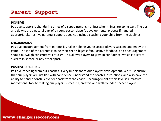## **Parent Support**

### **POSITIVE**

Positive support is vital during times of disappointment, not just when things are going well. The ups and downs are a natural part of a young soccer player's developmental process if handled appropriately. Positive parental support does not include coaching your child from the sidelines.

#### **ENCOURAGING**

Positive encouragement from parents is vital in helping young soccer players succeed and enjoy the game. The job of the parents is to be their child's biggest fan. Positive feedback and encouragement should outweigh constructive criticism. This allows players to grow in confidence, which is a key to success in soccer, or any other sport.

#### **POSITIVE COACHING**

Positive coaching from our coaches is very important to our players' development. We must ensure that our players are instilled with confidence, understand the coach's instructions, and also have the ability to handle constructive feedback from the coach. Encouragement at this level is a massive motivational tool to making our players successful, creative and well-rounded soccer players.